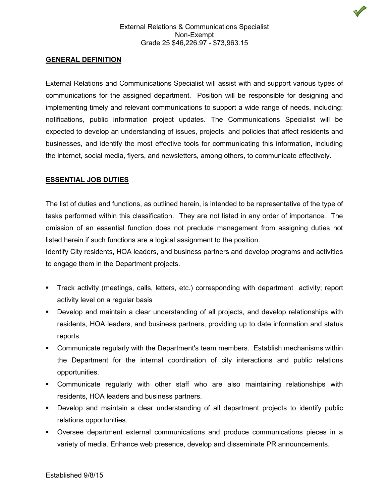## **GENERAL DEFINITION**

External Relations and Communications Specialist will assist with and support various types of communications for the assigned department. Position will be responsible for designing and implementing timely and relevant communications to support a wide range of needs, including: notifications, public information project updates. The Communications Specialist will be expected to develop an understanding of issues, projects, and policies that affect residents and businesses, and identify the most effective tools for communicating this information, including the internet, social media, flyers, and newsletters, among others, to communicate effectively.

#### **ESSENTIAL JOB DUTIES**

The list of duties and functions, as outlined herein, is intended to be representative of the type of tasks performed within this classification. They are not listed in any order of importance. The omission of an essential function does not preclude management from assigning duties not listed herein if such functions are a logical assignment to the position.

Identify City residents, HOA leaders, and business partners and develop programs and activities to engage them in the Department projects.

- Track activity (meetings, calls, letters, etc.) corresponding with department activity; report activity level on a regular basis
- Develop and maintain a clear understanding of all projects, and develop relationships with residents, HOA leaders, and business partners, providing up to date information and status reports.
- Communicate regularly with the Department's team members. Establish mechanisms within the Department for the internal coordination of city interactions and public relations opportunities.
- Communicate regularly with other staff who are also maintaining relationships with residents, HOA leaders and business partners.
- Develop and maintain a clear understanding of all department projects to identify public relations opportunities.
- Oversee department external communications and produce communications pieces in a variety of media. Enhance web presence, develop and disseminate PR announcements.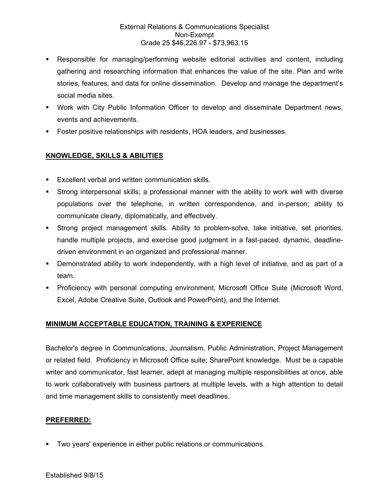## External Relations & Communications Specialist Non-Exempt Grade 25 \$46,226.97 - \$73,963.15

- Responsible for managing/performing website editorial activities and content, including gathering and researching information that enhances the value of the site. Plan and write stories, features, and data for online dissemination. Develop and manage the department's social media sites.
- Work with City Public Information Officer to develop and disseminate Department news, events and achievements.
- Foster positive relationships with residents, HOA leaders, and businesses.

# **KNOWLEDGE, SKILLS & ABILITIES**

- **Excellent verbal and written communication skills.**
- Strong interpersonal skills; a professional manner with the ability to work well with diverse populations over the telephone, in written correspondence, and in-person; ability to communicate clearly, diplomatically, and effectively.
- Strong project management skills. Ability to problem-solve, take initiative, set priorities, handle multiple projects, and exercise good judgment in a fast-paced, dynamic, deadlinedriven environment in an organized and professional manner.
- Demonstrated ability to work independently, with a high level of initiative, and as part of a team.
- Proficiency with personal computing environment, Microsoft Office Suite (Microsoft Word, Excel, Adobe Creative Suite, Outlook and PowerPoint), and the Internet.

## **MINIMUM ACCEPTABLE EDUCATION, TRAINING & EXPERIENCE**

Bachelor's degree in Communications, Journalism, Public Administration, Project Management or related field. Proficiency in Microsoft Office suite; SharePoint knowledge. Must be a capable writer and communicator, fast learner, adept at managing multiple responsibilities at once, able to work collaboratively with business partners at multiple levels, with a high attention to detail and time management skills to consistently meet deadlines.

## **PREFERRED:**

Two years' experience in either public relations or communications.